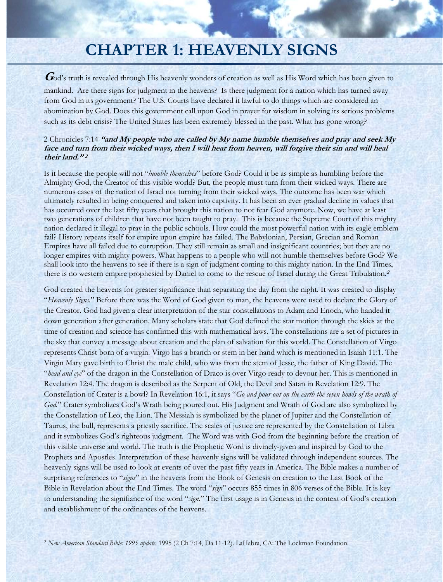# **CHAPTER 1: HEAVENLY SIGNS**

God's truth is revealed through His heavenly wonders of creation as well as His Word which has been given to mankind. Are there signs for judgment in the heavens?Is there judgment for a nation which has turned away from God in its government? The U.S. Courts have declared it lawful to do things which are considered an abomination by God. Does this government call upon God in prayer for wisdom in solving its serious problems such as its debt crisis? The United States has been extremely blessed in the past. What has gone wrong?

## 2 Chronicles 7:14 **"and My people who are called by My name humble themselves and pray and seek My face and turn from their wicked ways, then I will hear from heaven, will forgive their sin and will heal their land." <sup>2</sup>**

Is it because the people will not "*humble themselves*" before God? Could it be as simple as humbling before the Almighty God, the Creator of this visible world? But, the people must turn from their wicked ways. There are numerous cases of the nation of Israel not turning from their wicked ways. The outcome has been war which ultimately resulted in being conquered and taken into captivity. It has been an ever gradual decline in values that has occurred over the last fifty years that brought this nation to not fear God anymore. Now, we have at least two generations of children that have not been taught to pray. This is because the Supreme Court of this mighty nation declared it illegal to pray in the public schools. How could the most powerful nation with its eagle emblem fail? History repeats itself for empire upon empire has failed. The Babylonian, Persian, Grecian and Roman Empires have all failed due to corruption. They still remain as small and insignificant countries; but they are no longer empires with mighty powers. What happens to a people who will not humble themselves before God? We shall look into the heavens to see if there is a sign of judgment coming to this mighty nation. In the End Times, there is no western empire prophesied by Daniel to come to the rescue of Israel during the Great Tribulation.**<sup>2</sup>**

God created the heavens for greater significance than separating the day from the night. It was created to display "*Heavenly Signs.*" Before there was the Word of God given to man, the heavens were used to declare the Glory of the Creator. God had given a clear interpretation of the star constellations to Adam and Enoch, who handed it down generation after generation. Many scholars state that God defined the star motion through the skies at the time of creation and science has confirmed this with mathematical laws. The constellations are a set of pictures in the sky that convey a message about creation and the plan of salvation for this world. The Constellation of Virgo represents Christ born of a virgin. Virgo has a branch or stem in her hand which is mentioned in Isaiah 11:1. The Virgin Mary gave birth to Christ the male child, who was from the stem of Jesse, the father of King David. The "*head and eye*" of the dragon in the Constellation of Draco is over Virgo ready to devour her. This is mentioned in Revelation 12:4. The dragon is described as the Serpent of Old, the Devil and Satan in Revelation 12:9. The Constellation of Crater is a bowl? In Revelation 16:1, it says "*Go and pour out on the earth the seven bowls of the wrath of God.*" Crater symbolizes God's Wrath being poured out. His Judgment and Wrath of God are also symbolized by the Constellation of Leo, the Lion. The Messiah is symbolized by the planet of Jupiter and the Constellation of Taurus, the bull, represents a priestly sacrifice. The scales of justice are represented by the Constellation of Libra and it symbolizes God's righteous judgment. The Word was with God from the beginning before the creation of this visible universe and world. The truth is the Prophetic Word is divinely-given and inspired by God to the Prophets and Apostles. Interpretation of these heavenly signs will be validated through independent sources. The heavenly signs will be used to look at events of over the past fifty years in America. The Bible makes a number of surprising references to "*signs*" in the heavens from the Book of Genesis on creation to the Last Book of the Bible in Revelation about the End Times. The word "*sign*" occurs 855 times in 806 verses of the Bible. It is key to understanding the signifiance of the word "*sign.*" The first usage is in Genesis in the context of God's creation and establishment of the ordinances of the heavens.

and the state of the state of the state of the state of the state of the state of the state of the state of the<br>The state of the state of the state of the state of the state of the state of the state of the state of the st

<sup>2</sup> *New American Standard Bible: 1995 update*. 1995 (2 Ch 7:14, Da 11-12). LaHabra, CA: The Lockman Foundation.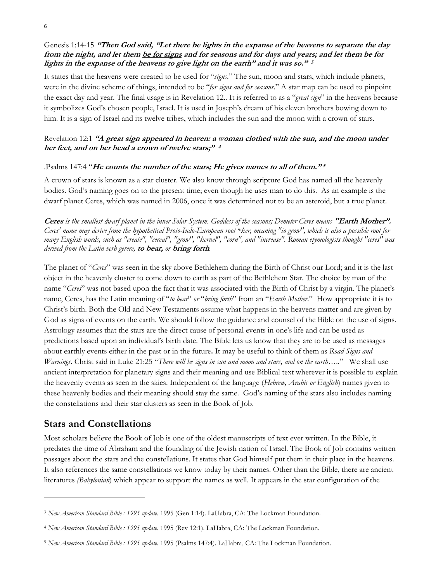# Genesis 1:14-15 **"Then God said, "Let there be lights in the expanse of the heavens to separate the day from the night, and let them be for signs and for seasons and for days and years; and let them be for lights in the expanse of the heavens to give light on the earth" and it was so." <sup>3</sup>**

It states that the heavens were created to be used for "*signs*." The sun, moon and stars, which include planets, were in the divine scheme of things, intended to be "*for signs and for seasons*." A star map can be used to pinpoint the exact day and year. The final usage is in Revelation 12.. It is referred to as a "*great sign*" in the heavens because it symbolizes God's chosen people, Israel. It is used in Joseph's dream of his eleven brothers bowing down to him. It is a sign of Israel and its twelve tribes, which includes the sun and the moon with a crown of stars.

# Revelation 12:1 **"A great sign appeared in heaven: a woman clothed with the sun, and the moon under her feet, and on her head a crown of twelve stars;" <sup>4</sup>**

#### .Psalms 147:4 "**He counts the number of the stars; He gives names to all of them." <sup>5</sup>**

A crown of stars is known as a star cluster. We also know through scripture God has named all the heavenly bodies. God's naming goes on to the present time; even though he uses man to do this. As an example is the dwarf planet Ceres, which was named in 2006, once it was determined not to be an asteroid, but a true planet.

**Ceres** *is the smallest dwarf planet in the inner Solar System. Goddess of the seasons; Demeter Ceres means* **"Earth Mother".** *Ceres' name may derive from the hypothetical Proto-Indo-European root \*ker, meaning "to grow", which is also a possible root for many English words, such as "create", "cereal", "grow", "kernel", "corn", and "increase". Roman etymologists thought "ceres" was derived from the Latin verb gerere,* **to bear,** *or* **bring forth***.* 

The planet of "*Ceres*" was seen in the sky above Bethlehem during the Birth of Christ our Lord; and it is the last object in the heavenly cluster to come down to earth as part of the Bethlehem Star. The choice by man of the name "*Ceres*" was not based upon the fact that it was associated with the Birth of Christ by a virgin. The planet's name, Ceres, has the Latin meaning of "*to bear*" *or* "*bring forth*" from an "*Earth Mother*." How appropriate it is to Christ's birth. Both the Old and New Testaments assume what happens in the heavens matter and are given by God as signs of events on the earth. We should follow the guidance and counsel of the Bible on the use of signs. Astrology assumes that the stars are the direct cause of personal events in one's life and can be used as predictions based upon an individual's birth date. The Bible lets us know that they are to be used as messages about earthly events either in the past or in the future**.** It may be useful to think of them as *Road Signs and Warnings*. Christ said in Luke 21:25 "*There will be signs in sun and moon and stars, and on the earth…..*" We shall use ancient interpretation for planetary signs and their meaning and use Biblical text wherever it is possible to explain the heavenly events as seen in the skies. Independent of the language (*Hebrew, Arabic or English*) names given to these heavenly bodies and their meaning should stay the same. God's naming of the stars also includes naming the constellations and their star clusters as seen in the Book of Job.

# **Stars and Constellations**

Most scholars believe the Book of Job is one of the oldest manuscripts of text ever written. In the Bible, it predates the time of Abraham and the founding of the Jewish nation of Israel. The Book of Job contains written passages about the stars and the constellations. It states that God himself put them in their place in the heavens. It also references the same constellations we know today by their names. Other than the Bible, there are ancient literatures *(Babylonian*) which appear to support the names as well. It appears in the star configuration of the

<sup>3</sup> *New American Standard Bible : 1995 update*. 1995 (Gen 1:14). LaHabra, CA: The Lockman Foundation.

<sup>4</sup> *New American Standard Bible : 1995 update*. 1995 (Rev 12:1). LaHabra, CA: The Lockman Foundation.

<sup>5</sup> *New American Standard Bible : 1995 update*. 1995 (Psalms 147:4). LaHabra, CA: The Lockman Foundation.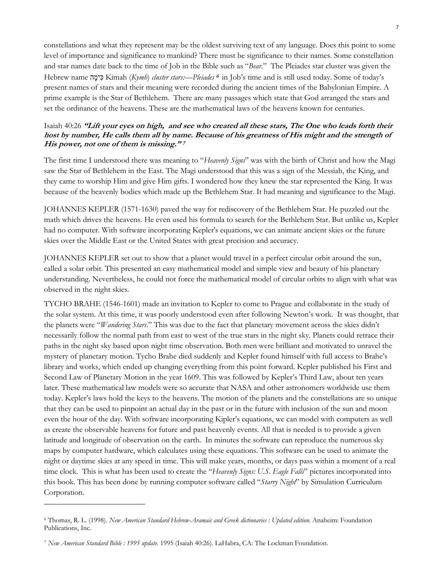constellations and what they represent may be the oldest surviving text of any language. Does this point to some level of importance and significance to mankind? There must be significance to their names. Some constellation and star names date back to the time of Job in the Bible such as "*Bear*." The Pleiades star cluster was given the Hebrew name הָימִכּ Kimah (*Kymh*) *cluster stars:—Pleiades* **6** in Job's time and is still used today. Some of today's present names of stars and their meaning were recorded during the ancient times of the Babylonian Empire. A prime example is the Star of Bethlehem. There are many passages which state that God arranged the stars and set the ordinance of the heavens. These are the mathematical laws of the heavens known for centuries.

## Isaiah 40:26 **"Lift your eyes on high, and see who created all these stars, The One who leads forth their host by number, He calls them all by name. Because of his greatness of His might and the strength of His power, not one of them is missing." <sup>7</sup>**

The first time I understood there was meaning to "*Heavenly Signs*" was with the birth of Christ and how the Magi saw the Star of Bethlehem in the East. The Magi understood that this was a sign of the Messiah, the King, and they came to worship Him and give Him gifts. I wondered how they knew the star represented the King. It was because of the heavenly bodies which made up the Bethlehem Star. It had meaning and significance to the Magi.

JOHANNES KEPLER (1571-1630) paved the way for rediscovery of the Bethlehem Star. He puzzled out the math which drives the heavens. He even used his formula to search for the Bethlehem Star. But unlike us, Kepler had no computer. With software incorporating Kepler's equations, we can animate ancient skies or the future skies over the Middle East or the United States with great precision and accuracy.

JOHANNES KEPLER set out to show that a planet would travel in a perfect circular orbit around the sun, called a solar orbit. This presented an easy mathematical model and simple view and beauty of his planetary understanding. Nevertheless, he could not force the mathematical model of circular orbits to align with what was observed in the night skies.

TYCHO BRAHE (1546-1601) made an invitation to Kepler to come to Prague and collaborate in the study of the solar system. At this time, it was poorly understood even after following Newton's work. It was thought, that the planets were "*Wandering Stars*." This was due to the fact that planetary movement across the skies didn't necessarily follow the normal path from east to west of the true stars in the night sky. Planets could retrace their paths in the night sky based upon night time observation. Both men were brilliant and motivated to unravel the mystery of planetary motion. Tycho Brahe died suddenly and Kepler found himself with full access to Brahe's library and works, which ended up changing everything from this point forward. Kepler published his First and Second Law of Planetary Motion in the year 1609. This was followed by Kepler's Third Law, about ten years later. These mathematical law models were so accurate that NASA and other astronomers worldwide use them today. Kepler's laws hold the keys to the heavens. The motion of the planets and the constellations are so unique that they can be used to pinpoint an actual day in the past or in the future with inclusion of the sun and moon even the hour of the day. With software incorporating Kipler's equations, we can model with computers as well as create the observable heavens for future and past heavenly events. All that is needed is to provide a given latitude and longitude of observation on the earth. In minutes the software can reproduce the numerous sky maps by computer hardware, which calculates using these equations. This software can be used to animate the night or daytime skies at any speed in time. This will make years, months, or days pass within a moment of a real time clock. This is what has been used to create the "*Heavenly Signs: U.S. Eagle Falls*" pictures incorporated into this book. This has been done by running computer software called "*Starry Night*" by Simulation Curriculum Corporation.

<sup>6</sup> Thomas, R. L. (1998). *New American Standard Hebrew-Aramaic and Greek dictionaries : Updated edition*. Anaheim: Foundation Publications, Inc.

<sup>7</sup> *New American Standard Bible : 1995 update*. 1995 (Isaiah 40:26). LaHabra, CA: The Lockman Foundation.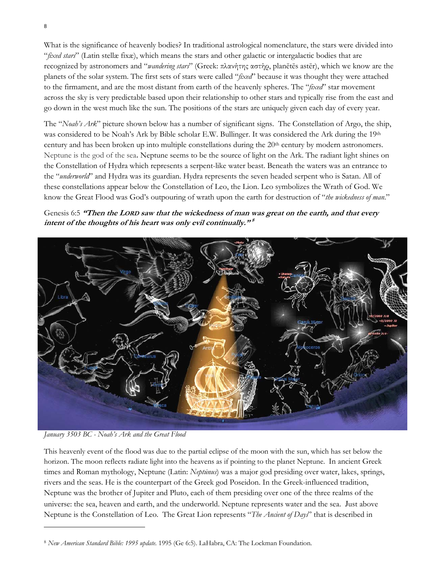What is the significance of heavenly bodies? In traditional astrological nomenclature, the stars were divided into "*fixed stars*" (Latin stellæ fixæ), which means the stars and other galactic or intergalactic bodies that are recognized by astronomers and "*wandering stars*" (Greek: πλανήτης αστήρ, planētēs astēr), which we know are the planets of the solar system. The first sets of stars were called "*fixed*" because it was thought they were attached to the firmament, and are the most distant from earth of the heavenly spheres. The "*fixed*" star movement across the sky is very predictable based upon their relationship to other stars and typically rise from the east and go down in the west much like the sun. The positions of the stars are uniquely given each day of every year.

The "*Noah's Ark*" picture shown below has a number of significant signs. The Constellation of Argo, the ship, was considered to be Noah's Ark by Bible scholar E.W. Bullinger. It was considered the Ark during the 19th century and has been broken up into multiple constellations during the 20<sup>th</sup> century by modern astronomers. Neptune is the god of the sea**.** Neptune seems to be the source of light on the Ark. The radiant light shines on the Constellation of Hydra which represents a serpent-like water beast. Beneath the waters was an entrance to the "*underworld*" and Hydra was its guardian. Hydra represents the seven headed serpent who is Satan. All of these constellations appear below the Constellation of Leo, the Lion. Leo symbolizes the Wrath of God. We know the Great Flood was God's outpouring of wrath upon the earth for destruction of "*the wickedness of man*."





*January 3503 BC - Noah's Ark and the Great Flood* 

This heavenly event of the flood was due to the partial eclipse of the moon with the sun, which has set below the horizon. The moon reflects radiate light into the heavens as if pointing to the planet Neptune. In ancient Greek times and Roman mythology, Neptune (Latin: *Neptūnus*) was a major god presiding over water, lakes, springs, rivers and the seas. He is the counterpart of the Greek god Poseidon. In the Greek-influenced tradition, Neptune was the brother of Jupiter and Pluto, each of them presiding over one of the three realms of the universe: the sea, heaven and earth, and the underworld. Neptune represents water and the sea. Just above Neptune is the Constellation of Leo. The Great Lion represents "*The Ancient of Days*" that is described in

<sup>8</sup> *New American Standard Bible: 1995 update*. 1995 (Ge 6:5). LaHabra, CA: The Lockman Foundation.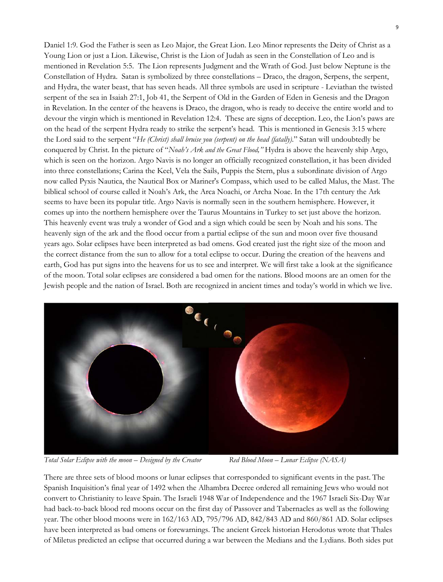Daniel 1:9. God the Father is seen as Leo Major, the Great Lion. Leo Minor represents the Deity of Christ as a Young Lion or just a Lion. Likewise, Christ is the Lion of Judah as seen in the Constellation of Leo and is mentioned in Revelation 5:5. The Lion represents Judgment and the Wrath of God. Just below Neptune is the Constellation of Hydra. Satan is symbolized by three constellations – Draco, the dragon, Serpens, the serpent, and Hydra, the water beast, that has seven heads. All three symbols are used in scripture - Leviathan the twisted serpent of the sea in Isaiah 27:1, Job 41, the Serpent of Old in the Garden of Eden in Genesis and the Dragon in Revelation. In the center of the heavens is Draco, the dragon, who is ready to deceive the entire world and to devour the virgin which is mentioned in Revelation 12:4. These are signs of deception. Leo, the Lion's paws are on the head of the serpent Hydra ready to strike the serpent's head. This is mentioned in Genesis 3:15 where the Lord said to the serpent "*He (Christ) shall bruise you (serpent) on the head (fatally)*." Satan will undoubtedly be conquered by Christ. In the picture of "*Noah's Ark and the Great Flood,"* Hydra is above the heavenly ship Argo, which is seen on the horizon. Argo Navis is no longer an officially recognized constellation, it has been divided into three constellations; Carina the Keel, Vela the Sails, Puppis the Stern, plus a subordinate division of Argo now called Pyxis Nautica, the Nautical Box or Mariner's Compass, which used to be called Malus, the Mast. The biblical school of course called it Noah's Ark, the Arca Noachi, or Archa Noae. In the 17th century the Ark seems to have been its popular title. Argo Navis is normally seen in the southern hemisphere. However, it comes up into the northern hemisphere over the Taurus Mountains in Turkey to set just above the horizon. This heavenly event was truly a wonder of God and a sign which could be seen by Noah and his sons. The heavenly sign of the ark and the flood occur from a partial eclipse of the sun and moon over five thousand years ago. Solar eclipses have been interpreted as bad omens. God created just the right size of the moon and the correct distance from the sun to allow for a total eclipse to occur. During the creation of the heavens and earth, God has put signs into the heavens for us to see and interpret. We will first take a look at the significance of the moon. Total solar eclipses are considered a bad omen for the nations. Blood moons are an omen for the Jewish people and the nation of Israel. Both are recognized in ancient times and today's world in which we live.



*Total Solar Eclipse with the moon – Designed by the Creator Red Blood Moon – Lunar Eclipse (NASA)*

There are three sets of blood moons or lunar eclipses that corresponded to significant events in the past. The Spanish Inquisition's final year of 1492 when the Alhambra Decree ordered all remaining Jews who would not convert to Christianity to leave Spain. The Israeli 1948 War of Independence and the 1967 Israeli Six-Day War had back-to-back blood red moons occur on the first day of Passover and Tabernacles as well as the following year. The other blood moons were in 162/163 AD, 795/796 AD, 842/843 AD and 860/861 AD. Solar eclipses have been interpreted as bad omens or forewarnings. The ancient Greek historian Herodotus wrote that Thales of Miletus predicted an eclipse that occurred during a war between the Medians and the Lydians. Both sides put